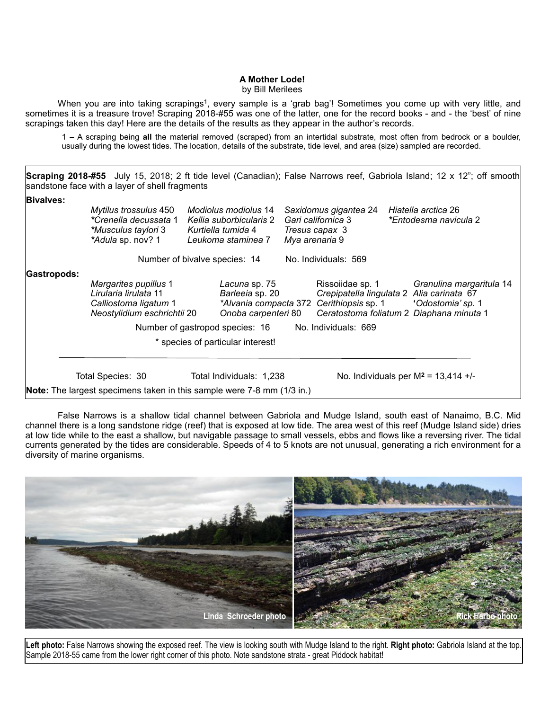## **A Mother Lode!**

by Bill Merilees

When you are into taking scrapings<sup>1</sup>, every sample is a 'grab bag'! Sometimes you come up with very little, and sometimes it is a treasure trove! Scraping 2018-#55 was one of the latter, one for the record books - and - the 'best' of nine scrapings taken this day! Here are the details of the results as they appear in the author's records.

1 – A scraping being **all** the material removed (scraped) from an intertidal substrate, most often from bedrock or a boulder, usually during the lowest tides. The location, details of the substrate, tide level, and area (size) sampled are recorded.

Scraping 2018-#55 July 15, 2018; 2 ft tide level (Canadian); False Narrows reef, Gabriola Island; 12 x 12"; off smooth sandstone face with a layer of shell fragments **Bivalves:** *Mytilus trossulus* 450 *Modiolus modiolus* 14 *Saxidomus gigantea* 24 *Hiatella arctica* 26 *\*Crenella decussata* 1 *Kellia suborbicularis* 2 *Gari californica* 3 *\*Entodesma navicula* 2 *\*Musculus taylori* 3 *Kurtiella tumida* 4 *Tresus capax* 3 *\*Adula* sp. nov? 1 *Leukoma staminea* 7 *Mya arenaria* 9 Number of bivalve species: 14 No. Individuals: 569 **Gastropods:** *Margarites pupillus* 1 *Lacuna* sp. 75 Rissoiidae sp*.* 1 *Granulina margaritula* 14 *Lirularia lirulata* 11 *Barleeia* sp. 20 *Crepipatella lingulata* 2 *Alia carinata* 67 *Calliostoma ligatum* 1 *\*Alvania compacta* 372 *Cerithiopsis* sp. 1 **'***Odostomia' sp.* 1 *Neostylidium eschrichtii* 20 *Onoba carpenteri* 80 *Ceratostoma foliatum* 2 *Diaphana minuta* 1 Number of gastropod species: 16 No. Individuals: 669 \* species of particular interest! Total Species: 30 Total Individuals: 1,238 No. Individuals per M<sup>2</sup> = 13,414 +/-**Note:** The largest specimens taken in this sample were 7-8 mm (1/3 in.)

 False Narrows is a shallow tidal channel between Gabriola and Mudge Island, south east of Nanaimo, B.C. Mid channel there is a long sandstone ridge (reef) that is exposed at low tide. The area west of this reef (Mudge Island side) dries at low tide while to the east a shallow, but navigable passage to small vessels, ebbs and flows like a reversing river. The tidal currents generated by the tides are considerable. Speeds of 4 to 5 knots are not unusual, generating a rich environment for a diversity of marine organisms.



**Left photo:** False Narrows showing the exposed reef. The view is looking south with Mudge Island to the right. **Right photo:** Gabriola Island at the top. Sample 2018-55 came from the lower right corner of this photo. Note sandstone strata - great Piddock habitat!